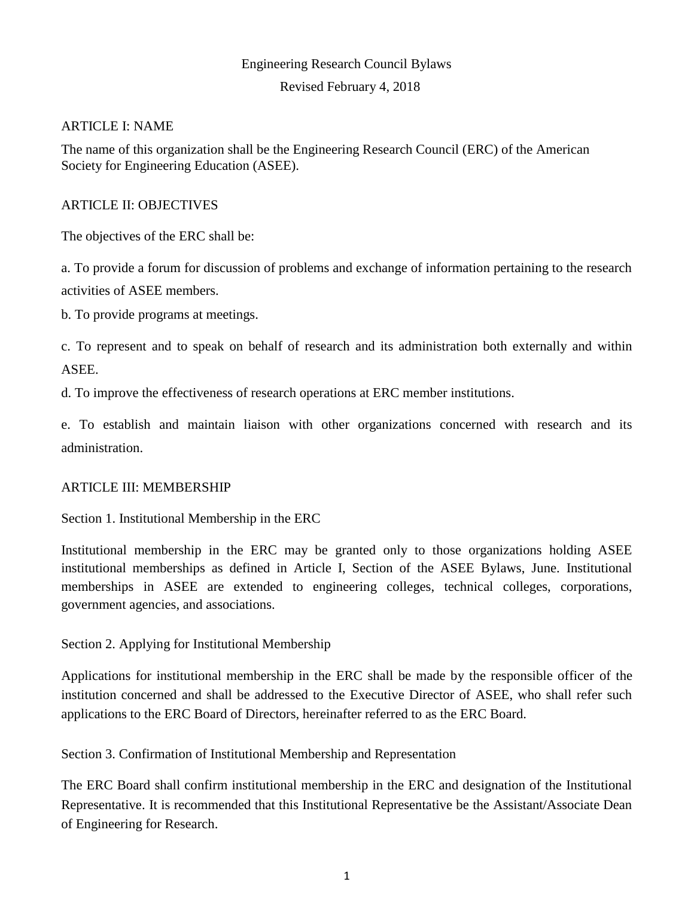# Engineering Research Council Bylaws Revised February 4, 2018

### ARTICLE I: NAME

The name of this organization shall be the Engineering Research Council (ERC) of the American Society for Engineering Education (ASEE).

### ARTICLE II: OBJECTIVES

The objectives of the ERC shall be:

a. To provide a forum for discussion of problems and exchange of information pertaining to the research activities of ASEE members.

b. To provide programs at meetings.

c. To represent and to speak on behalf of research and its administration both externally and within ASEE.

d. To improve the effectiveness of research operations at ERC member institutions.

e. To establish and maintain liaison with other organizations concerned with research and its administration.

### ARTICLE III: MEMBERSHIP

Section 1. Institutional Membership in the ERC

Institutional membership in the ERC may be granted only to those organizations holding ASEE institutional memberships as defined in Article I, Section of the ASEE Bylaws, June. Institutional memberships in ASEE are extended to engineering colleges, technical colleges, corporations, government agencies, and associations.

Section 2. Applying for Institutional Membership

Applications for institutional membership in the ERC shall be made by the responsible officer of the institution concerned and shall be addressed to the Executive Director of ASEE, who shall refer such applications to the ERC Board of Directors, hereinafter referred to as the ERC Board.

Section 3. Confirmation of Institutional Membership and Representation

The ERC Board shall confirm institutional membership in the ERC and designation of the Institutional Representative. It is recommended that this Institutional Representative be the Assistant/Associate Dean of Engineering for Research.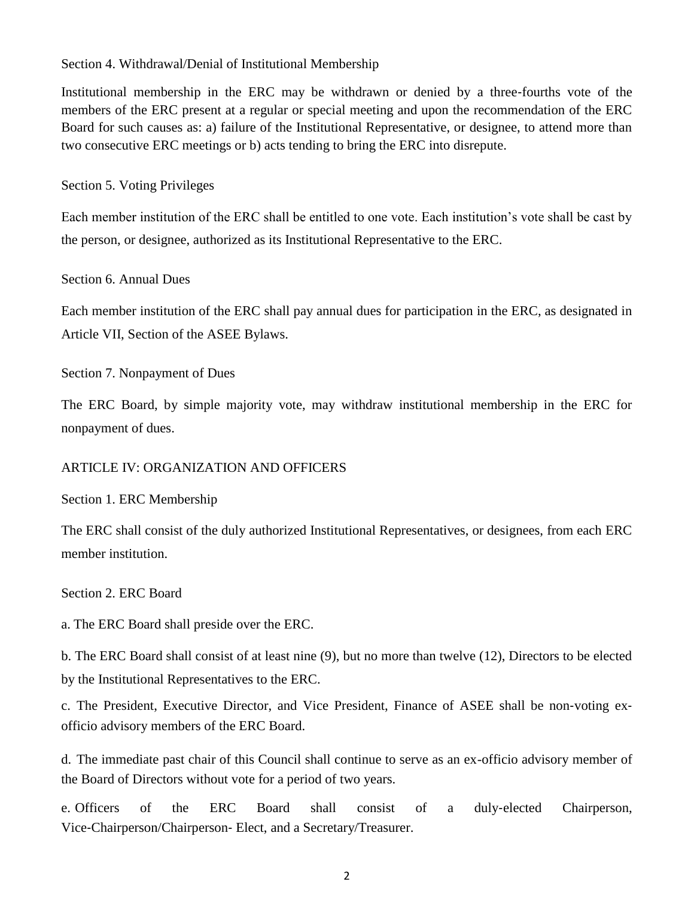Section 4. Withdrawal/Denial of Institutional Membership

Institutional membership in the ERC may be withdrawn or denied by a three-fourths vote of the members of the ERC present at a regular or special meeting and upon the recommendation of the ERC Board for such causes as: a) failure of the Institutional Representative, or designee, to attend more than two consecutive ERC meetings or b) acts tending to bring the ERC into disrepute.

Section 5. Voting Privileges

Each member institution of the ERC shall be entitled to one vote. Each institution's vote shall be cast by the person, or designee, authorized as its Institutional Representative to the ERC.

Section 6. Annual Dues

Each member institution of the ERC shall pay annual dues for participation in the ERC, as designated in Article VII, Section of the ASEE Bylaws.

Section 7. Nonpayment of Dues

The ERC Board, by simple majority vote, may withdraw institutional membership in the ERC for nonpayment of dues.

#### ARTICLE IV: ORGANIZATION AND OFFICERS

Section 1. ERC Membership

The ERC shall consist of the duly authorized Institutional Representatives, or designees, from each ERC member institution.

Section 2. ERC Board

a. The ERC Board shall preside over the ERC.

b. The ERC Board shall consist of at least nine (9), but no more than twelve (12), Directors to be elected by the Institutional Representatives to the ERC.

c. The President, Executive Director, and Vice President, Finance of ASEE shall be non‐voting ex‐ officio advisory members of the ERC Board.

d. The immediate past chair of this Council shall continue to serve as an ex-officio advisory member of the Board of Directors without vote for a period of two years.

e. Officers of the ERC Board shall consist of a duly‐elected Chairperson, Vice‐Chairperson/Chairperson‐ Elect, and a Secretary/Treasurer.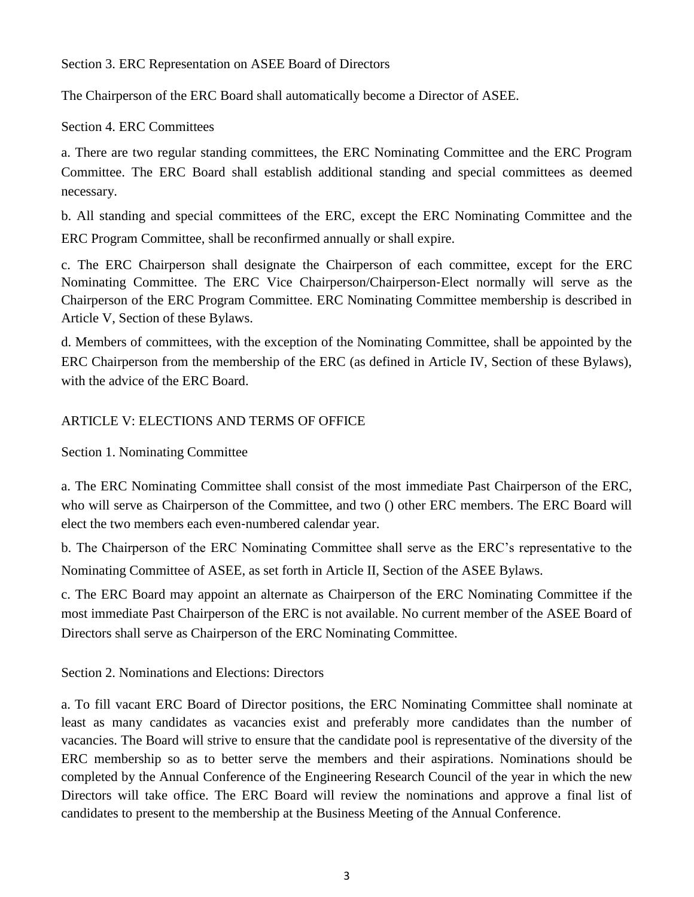Section 3. ERC Representation on ASEE Board of Directors

The Chairperson of the ERC Board shall automatically become a Director of ASEE.

Section 4. ERC Committees

a. There are two regular standing committees, the ERC Nominating Committee and the ERC Program Committee. The ERC Board shall establish additional standing and special committees as deemed necessary.

b. All standing and special committees of the ERC, except the ERC Nominating Committee and the ERC Program Committee, shall be reconfirmed annually or shall expire.

c. The ERC Chairperson shall designate the Chairperson of each committee, except for the ERC Nominating Committee. The ERC Vice Chairperson/Chairperson‐Elect normally will serve as the Chairperson of the ERC Program Committee. ERC Nominating Committee membership is described in Article V, Section of these Bylaws.

d. Members of committees, with the exception of the Nominating Committee, shall be appointed by the ERC Chairperson from the membership of the ERC (as defined in Article IV, Section of these Bylaws), with the advice of the ERC Board.

## ARTICLE V: ELECTIONS AND TERMS OF OFFICE

Section 1. Nominating Committee

a. The ERC Nominating Committee shall consist of the most immediate Past Chairperson of the ERC, who will serve as Chairperson of the Committee, and two () other ERC members. The ERC Board will elect the two members each even‐numbered calendar year.

b. The Chairperson of the ERC Nominating Committee shall serve as the ERC's representative to the Nominating Committee of ASEE, as set forth in Article II, Section of the ASEE Bylaws.

c. The ERC Board may appoint an alternate as Chairperson of the ERC Nominating Committee if the most immediate Past Chairperson of the ERC is not available. No current member of the ASEE Board of Directors shall serve as Chairperson of the ERC Nominating Committee.

Section 2. Nominations and Elections: Directors

a. To fill vacant ERC Board of Director positions, the ERC Nominating Committee shall nominate at least as many candidates as vacancies exist and preferably more candidates than the number of vacancies. The Board will strive to ensure that the candidate pool is representative of the diversity of the ERC membership so as to better serve the members and their aspirations. Nominations should be completed by the Annual Conference of the Engineering Research Council of the year in which the new Directors will take office. The ERC Board will review the nominations and approve a final list of candidates to present to the membership at the Business Meeting of the Annual Conference.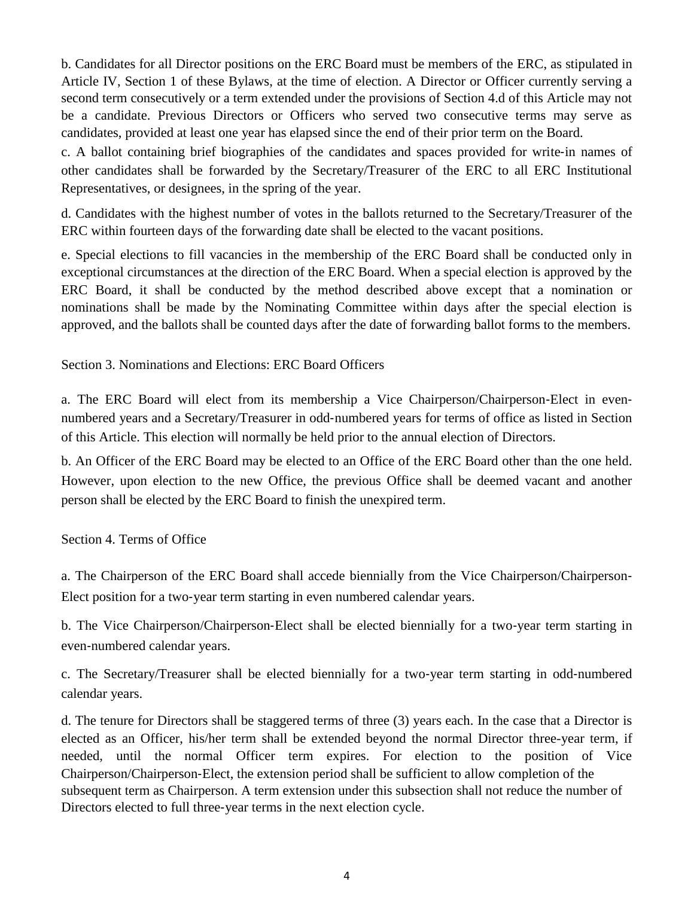b. Candidates for all Director positions on the ERC Board must be members of the ERC, as stipulated in Article IV, Section 1 of these Bylaws, at the time of election. A Director or Officer currently serving a second term consecutively or a term extended under the provisions of Section 4.d of this Article may not be a candidate. Previous Directors or Officers who served two consecutive terms may serve as candidates, provided at least one year has elapsed since the end of their prior term on the Board.

c. A ballot containing brief biographies of the candidates and spaces provided for write‐in names of other candidates shall be forwarded by the Secretary/Treasurer of the ERC to all ERC Institutional Representatives, or designees, in the spring of the year.

d. Candidates with the highest number of votes in the ballots returned to the Secretary/Treasurer of the ERC within fourteen days of the forwarding date shall be elected to the vacant positions.

e. Special elections to fill vacancies in the membership of the ERC Board shall be conducted only in exceptional circumstances at the direction of the ERC Board. When a special election is approved by the ERC Board, it shall be conducted by the method described above except that a nomination or nominations shall be made by the Nominating Committee within days after the special election is approved, and the ballots shall be counted days after the date of forwarding ballot forms to the members.

Section 3. Nominations and Elections: ERC Board Officers

a. The ERC Board will elect from its membership a Vice Chairperson/Chairperson‐Elect in even‐ numbered years and a Secretary/Treasurer in odd‐numbered years for terms of office as listed in Section of this Article. This election will normally be held prior to the annual election of Directors.

b. An Officer of the ERC Board may be elected to an Office of the ERC Board other than the one held. However, upon election to the new Office, the previous Office shall be deemed vacant and another person shall be elected by the ERC Board to finish the unexpired term.

Section 4. Terms of Office

a. The Chairperson of the ERC Board shall accede biennially from the Vice Chairperson/Chairperson‐ Elect position for a two-year term starting in even numbered calendar years.

b. The Vice Chairperson/Chairperson‐Elect shall be elected biennially for a two‐year term starting in even‐numbered calendar years.

c. The Secretary/Treasurer shall be elected biennially for a two‐year term starting in odd‐numbered calendar years.

d. The tenure for Directors shall be staggered terms of three (3) years each. In the case that a Director is elected as an Officer, his/her term shall be extended beyond the normal Director three-year term, if needed, until the normal Officer term expires. For election to the position of Vice Chairperson/Chairperson‐Elect, the extension period shall be sufficient to allow completion of the subsequent term as Chairperson. A term extension under this subsection shall not reduce the number of Directors elected to full three‐year terms in the next election cycle.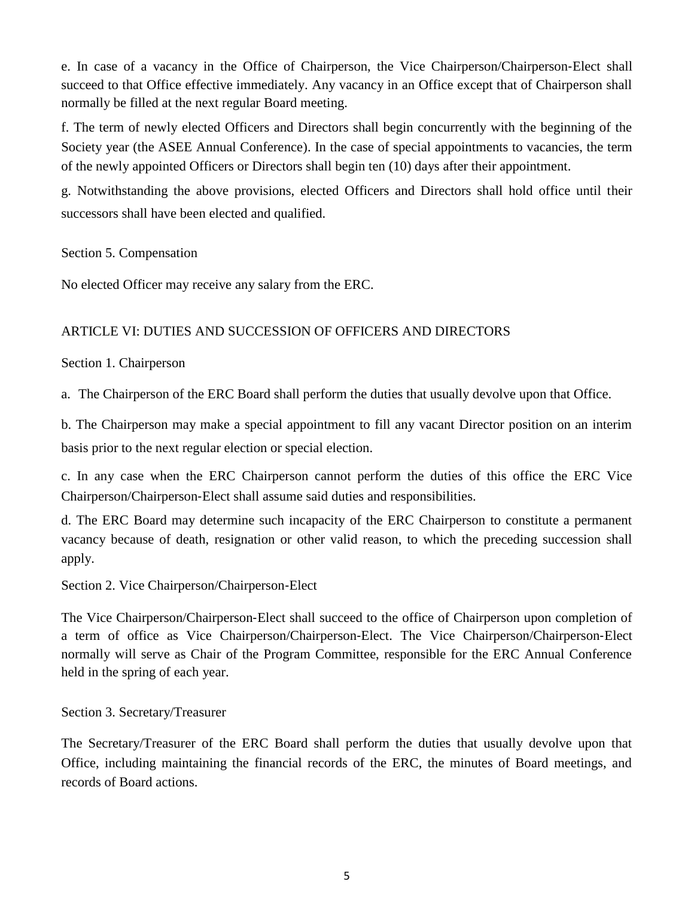e. In case of a vacancy in the Office of Chairperson, the Vice Chairperson/Chairperson‐Elect shall succeed to that Office effective immediately. Any vacancy in an Office except that of Chairperson shall normally be filled at the next regular Board meeting.

f. The term of newly elected Officers and Directors shall begin concurrently with the beginning of the Society year (the ASEE Annual Conference). In the case of special appointments to vacancies, the term of the newly appointed Officers or Directors shall begin ten (10) days after their appointment.

g. Notwithstanding the above provisions, elected Officers and Directors shall hold office until their successors shall have been elected and qualified.

Section 5. Compensation

No elected Officer may receive any salary from the ERC.

### ARTICLE VI: DUTIES AND SUCCESSION OF OFFICERS AND DIRECTORS

### Section 1. Chairperson

a. The Chairperson of the ERC Board shall perform the duties that usually devolve upon that Office.

b. The Chairperson may make a special appointment to fill any vacant Director position on an interim basis prior to the next regular election or special election.

c. In any case when the ERC Chairperson cannot perform the duties of this office the ERC Vice Chairperson/Chairperson‐Elect shall assume said duties and responsibilities.

d. The ERC Board may determine such incapacity of the ERC Chairperson to constitute a permanent vacancy because of death, resignation or other valid reason, to which the preceding succession shall apply.

Section 2. Vice Chairperson/Chairperson‐Elect

The Vice Chairperson/Chairperson-Elect shall succeed to the office of Chairperson upon completion of a term of office as Vice Chairperson/Chairperson‐Elect. The Vice Chairperson/Chairperson‐Elect normally will serve as Chair of the Program Committee, responsible for the ERC Annual Conference held in the spring of each year.

Section 3. Secretary/Treasurer

The Secretary/Treasurer of the ERC Board shall perform the duties that usually devolve upon that Office, including maintaining the financial records of the ERC, the minutes of Board meetings, and records of Board actions.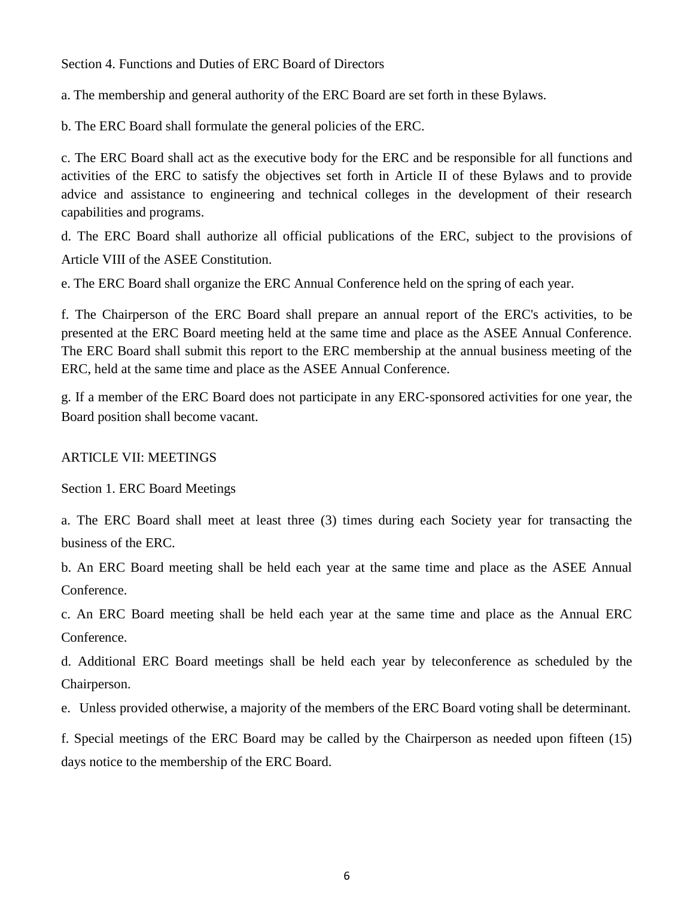#### Section 4. Functions and Duties of ERC Board of Directors

a. The membership and general authority of the ERC Board are set forth in these Bylaws.

b. The ERC Board shall formulate the general policies of the ERC.

c. The ERC Board shall act as the executive body for the ERC and be responsible for all functions and activities of the ERC to satisfy the objectives set forth in Article II of these Bylaws and to provide advice and assistance to engineering and technical colleges in the development of their research capabilities and programs.

d. The ERC Board shall authorize all official publications of the ERC, subject to the provisions of Article VIII of the ASEE Constitution.

e. The ERC Board shall organize the ERC Annual Conference held on the spring of each year.

f. The Chairperson of the ERC Board shall prepare an annual report of the ERC's activities, to be presented at the ERC Board meeting held at the same time and place as the ASEE Annual Conference. The ERC Board shall submit this report to the ERC membership at the annual business meeting of the ERC, held at the same time and place as the ASEE Annual Conference.

g. If a member of the ERC Board does not participate in any ERC‐sponsored activities for one year, the Board position shall become vacant.

#### ARTICLE VII: MEETINGS

Section 1. ERC Board Meetings

a. The ERC Board shall meet at least three (3) times during each Society year for transacting the business of the ERC.

b. An ERC Board meeting shall be held each year at the same time and place as the ASEE Annual Conference.

c. An ERC Board meeting shall be held each year at the same time and place as the Annual ERC Conference.

d. Additional ERC Board meetings shall be held each year by teleconference as scheduled by the Chairperson.

e. Unless provided otherwise, a majority of the members of the ERC Board voting shall be determinant.

f. Special meetings of the ERC Board may be called by the Chairperson as needed upon fifteen (15) days notice to the membership of the ERC Board.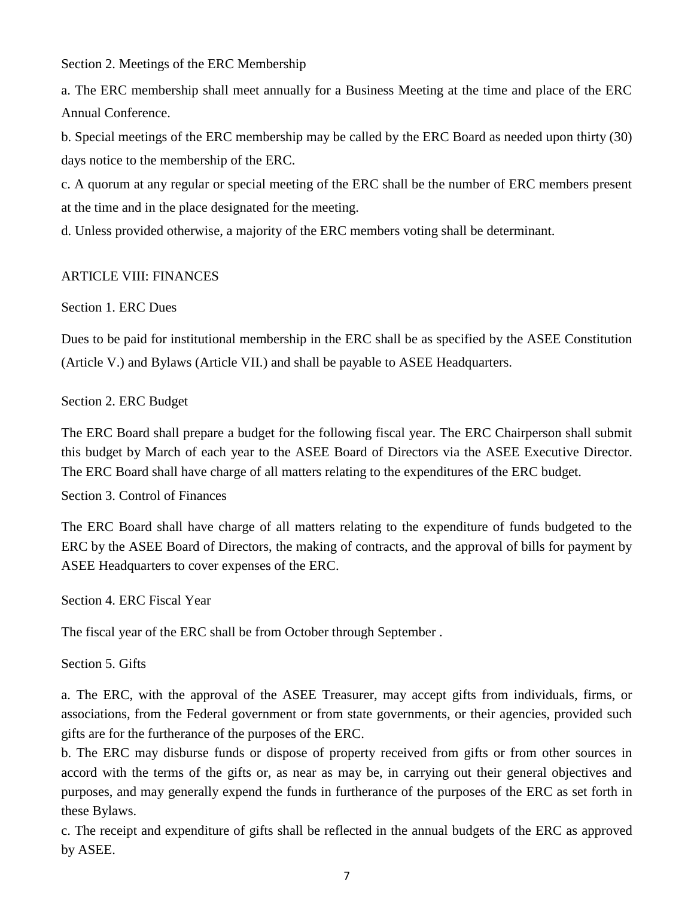Section 2. Meetings of the ERC Membership

a. The ERC membership shall meet annually for a Business Meeting at the time and place of the ERC Annual Conference.

b. Special meetings of the ERC membership may be called by the ERC Board as needed upon thirty (30) days notice to the membership of the ERC.

c. A quorum at any regular or special meeting of the ERC shall be the number of ERC members present at the time and in the place designated for the meeting.

d. Unless provided otherwise, a majority of the ERC members voting shall be determinant.

#### ARTICLE VIII: FINANCES

### Section 1. ERC Dues

Dues to be paid for institutional membership in the ERC shall be as specified by the ASEE Constitution (Article V.) and Bylaws (Article VII.) and shall be payable to ASEE Headquarters.

### Section 2. ERC Budget

The ERC Board shall prepare a budget for the following fiscal year. The ERC Chairperson shall submit this budget by March of each year to the ASEE Board of Directors via the ASEE Executive Director. The ERC Board shall have charge of all matters relating to the expenditures of the ERC budget.

#### Section 3. Control of Finances

The ERC Board shall have charge of all matters relating to the expenditure of funds budgeted to the ERC by the ASEE Board of Directors, the making of contracts, and the approval of bills for payment by ASEE Headquarters to cover expenses of the ERC.

Section 4. ERC Fiscal Year

The fiscal year of the ERC shall be from October through September .

Section 5. Gifts

a. The ERC, with the approval of the ASEE Treasurer, may accept gifts from individuals, firms, or associations, from the Federal government or from state governments, or their agencies, provided such gifts are for the furtherance of the purposes of the ERC.

b. The ERC may disburse funds or dispose of property received from gifts or from other sources in accord with the terms of the gifts or, as near as may be, in carrying out their general objectives and purposes, and may generally expend the funds in furtherance of the purposes of the ERC as set forth in these Bylaws.

c. The receipt and expenditure of gifts shall be reflected in the annual budgets of the ERC as approved by ASEE.